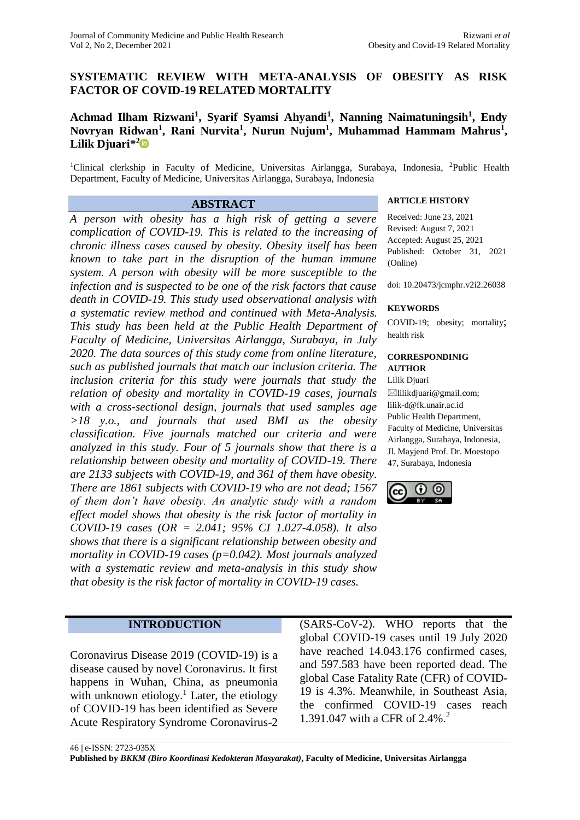## **SYSTEMATIC REVIEW WITH META-ANALYSIS OF OBESITY AS RISK FACTOR OF COVID-19 RELATED MORTALITY**

# **Achmad Ilham Rizwani<sup>1</sup> , Syarif Syamsi Ahyandi<sup>1</sup> , Nanning Naimatuningsih<sup>1</sup> , Endy Novryan Ridwan<sup>1</sup> , Rani Nurvita<sup>1</sup> , Nurun Nujum<sup>1</sup> , Muhammad Hammam Mahrus<sup>1</sup> , Lilik Djuari\* [2](https://orcid.org/0000-0003-0872-7645)**

<sup>1</sup>Clinical clerkship in Faculty of Medicine, Universitas Airlangga, Surabaya, Indonesia, <sup>2</sup>Public Health Department, Faculty of Medicine, Universitas Airlangga, Surabaya, Indonesia

*A person with obesity has a high risk of getting a severe complication of COVID-19. This is related to the increasing of chronic illness cases caused by obesity. Obesity itself has been known to take part in the disruption of the human immune system. A person with obesity will be more susceptible to the infection and is suspected to be one of the risk factors that cause death in COVID-19. This study used observational analysis with a systematic review method and continued with Meta-Analysis. This study has been held at the Public Health Department of Faculty of Medicine, Universitas Airlangga, Surabaya, in July 2020. The data sources of this study come from online literature, such as published journals that match our inclusion criteria. The inclusion criteria for this study were journals that study the relation of obesity and mortality in COVID-19 cases, journals with a cross-sectional design, journals that used samples age >18 y.o., and journals that used BMI as the obesity classification. Five journals matched our criteria and were analyzed in this study. Four of 5 journals show that there is a relationship between obesity and mortality of COVID-19. There are 2133 subjects with COVID-19, and 361 of them have obesity. There are 1861 subjects with COVID-19 who are not dead; 1567 of them don't have obesity. An analytic study with a random effect model shows that obesity is the risk factor of mortality in COVID-19 cases (OR = 2.041; 95% CI 1.027-4.058). It also shows that there is a significant relationship between obesity and mortality in COVID-19 cases (p=0.042). Most journals analyzed with a systematic review and meta-analysis in this study show that obesity is the risk factor of mortality in COVID-19 cases.*

## **ABSTRACT ARTICLE HISTORY**

Received: June 23, 2021 Revised: August 7, 2021 Accepted: August 25, 2021 Published: October 31, 2021 (Online)

doi: 10.20473/jcmphr.v2i2.26038

#### **KEYWORDS**

COVID-19; obesity; mortality; health risk

#### **CORRESPONDINIG AUTHOR**

Lilik Djuari

 $\boxtimes$ lilikdjuari@gmail.com; lilik-d@fk.unair.ac.id Public Health Department, Faculty of Medicine, Universitas Airlangga, Surabaya, Indonesia, Jl. Mayjend Prof. Dr. Moestopo 47, Surabaya, Indonesia



#### **INTRODUCTION**

Coronavirus Disease 2019 (COVID-19) is a disease caused by novel Coronavirus. It first happens in Wuhan, China, as pneumonia with unknown etiology.<sup>1</sup> Later, the etiology of COVID-19 has been identified as Severe Acute Respiratory Syndrome Coronavirus-2

(SARS-CoV-2). WHO reports that the global COVID-19 cases until 19 July 2020 have reached 14.043.176 confirmed cases, and 597.583 have been reported dead. The global Case Fatality Rate (CFR) of COVID-19 is 4.3%. Meanwhile, in Southeast Asia, the confirmed COVID-19 cases reach 1.391.047 with a CFR of 2.4%. 2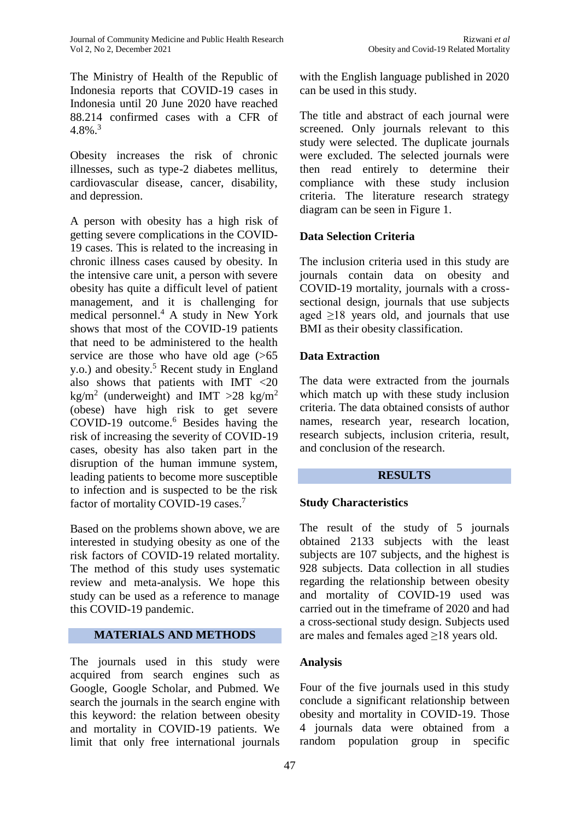The Ministry of Health of the Republic of Indonesia reports that COVID-19 cases in Indonesia until 20 June 2020 have reached 88.214 confirmed cases with a CFR of  $4.8\%$ <sup>3</sup>

Obesity increases the risk of chronic illnesses, such as type-2 diabetes mellitus, cardiovascular disease, cancer, disability, and depression.

A person with obesity has a high risk of getting severe complications in the COVID-19 cases. This is related to the increasing in chronic illness cases caused by obesity. In the intensive care unit, a person with severe obesity has quite a difficult level of patient management, and it is challenging for medical personnel. <sup>4</sup> A study in New York shows that most of the COVID-19 patients that need to be administered to the health service are those who have old age  $(565)$ y.o.) and obesity. <sup>5</sup> Recent study in England also shows that patients with IMT <20 kg/m<sup>2</sup> (underweight) and IMT >28 kg/m<sup>2</sup> (obese) have high risk to get severe COVID-19 outcome. <sup>6</sup> Besides having the risk of increasing the severity of COVID-19 cases, obesity has also taken part in the disruption of the human immune system, leading patients to become more susceptible to infection and is suspected to be the risk factor of mortality COVID-19 cases.<sup>7</sup>

Based on the problems shown above, we are interested in studying obesity as one of the risk factors of COVID-19 related mortality. The method of this study uses systematic review and meta-analysis. We hope this study can be used as a reference to manage this COVID-19 pandemic.

#### **MATERIALS AND METHODS**

The journals used in this study were acquired from search engines such as Google, Google Scholar, and Pubmed. We search the journals in the search engine with this keyword: the relation between obesity and mortality in COVID-19 patients. We limit that only free international journals

with the English language published in 2020 can be used in this study.

The title and abstract of each journal were screened. Only journals relevant to this study were selected. The duplicate journals were excluded. The selected journals were then read entirely to determine their compliance with these study inclusion criteria. The literature research strategy diagram can be seen in Figure 1.

# **Data Selection Criteria**

The inclusion criteria used in this study are journals contain data on obesity and COVID-19 mortality, journals with a crosssectional design, journals that use subjects aged  $\geq$ 18 years old, and journals that use BMI as their obesity classification.

# **Data Extraction**

The data were extracted from the journals which match up with these study inclusion criteria. The data obtained consists of author names, research year, research location, research subjects, inclusion criteria, result, and conclusion of the research.

#### **RESULTS**

# **Study Characteristics**

The result of the study of 5 journals obtained 2133 subjects with the least subjects are 107 subjects, and the highest is 928 subjects. Data collection in all studies regarding the relationship between obesity and mortality of COVID-19 used was carried out in the timeframe of 2020 and had a cross-sectional study design. Subjects used are males and females aged  $\geq$ 18 years old.

# **Analysis**

Four of the five journals used in this study conclude a significant relationship between obesity and mortality in COVID-19. Those 4 journals data were obtained from a random population group in specific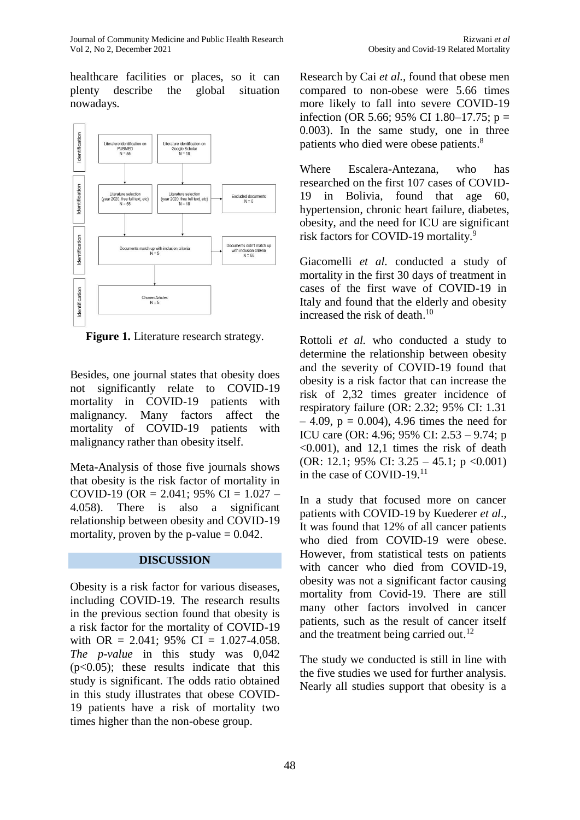healthcare facilities or places, so it can plenty describe the global situation nowadays.



**Figure 1.** Literature research strategy.

Besides, one journal states that obesity does not significantly relate to COVID-19 mortality in COVID-19 patients with malignancy. Many factors affect the mortality of COVID-19 patients with malignancy rather than obesity itself.

Meta-Analysis of those five journals shows that obesity is the risk factor of mortality in COVID-19 (OR = 2.041; 95% CI =  $1.027 -$ 4.058). There is also a significant relationship between obesity and COVID-19 mortality, proven by the p-value  $= 0.042$ .

# **DISCUSSION**

Obesity is a risk factor for various diseases, including COVID-19. The research results in the previous section found that obesity is a risk factor for the mortality of COVID-19 with OR = 2.041; 95% CI =  $1.027 - 4.058$ . *The p*-*value* in this study was 0,042  $(p<0.05)$ ; these results indicate that this study is significant. The odds ratio obtained in this study illustrates that obese COVID-19 patients have a risk of mortality two times higher than the non-obese group.

Research by Cai *et al.,* found that obese men compared to non-obese were 5.66 times more likely to fall into severe COVID-19 infection (OR 5.66; 95% CI 1.80–17.75;  $p =$ 0.003). In the same study, one in three patients who died were obese patients.<sup>8</sup>

Where Escalera-Antezana, who has researched on the first 107 cases of COVID-19 in Bolivia, found that age 60, hypertension, chronic heart failure, diabetes, obesity, and the need for ICU are significant risk factors for COVID-19 mortality. 9

Giacomelli *et al.* conducted a study of mortality in the first 30 days of treatment in cases of the first wave of COVID-19 in Italy and found that the elderly and obesity increased the risk of death. 10

Rottoli *et al.* who conducted a study to determine the relationship between obesity and the severity of COVID-19 found that obesity is a risk factor that can increase the risk of 2,32 times greater incidence of respiratory failure (OR: 2.32; 95% CI: 1.31  $-4.09$ ,  $p = 0.004$ ), 4.96 times the need for ICU care (OR: 4.96; 95% CI: 2.53 – 9.74; p  $\leq 0.001$ ), and 12,1 times the risk of death (OR: 12.1; 95% CI:  $3.25 - 45.1$ ; p <0.001) in the case of COVID-19.<sup>11</sup>

In a study that focused more on cancer patients with COVID-19 by Kuederer *et al*., It was found that 12% of all cancer patients who died from COVID-19 were obese. However, from statistical tests on patients with cancer who died from COVID-19, obesity was not a significant factor causing mortality from Covid-19. There are still many other factors involved in cancer patients, such as the result of cancer itself and the treatment being carried out.<sup>12</sup>

The study we conducted is still in line with the five studies we used for further analysis. Nearly all studies support that obesity is a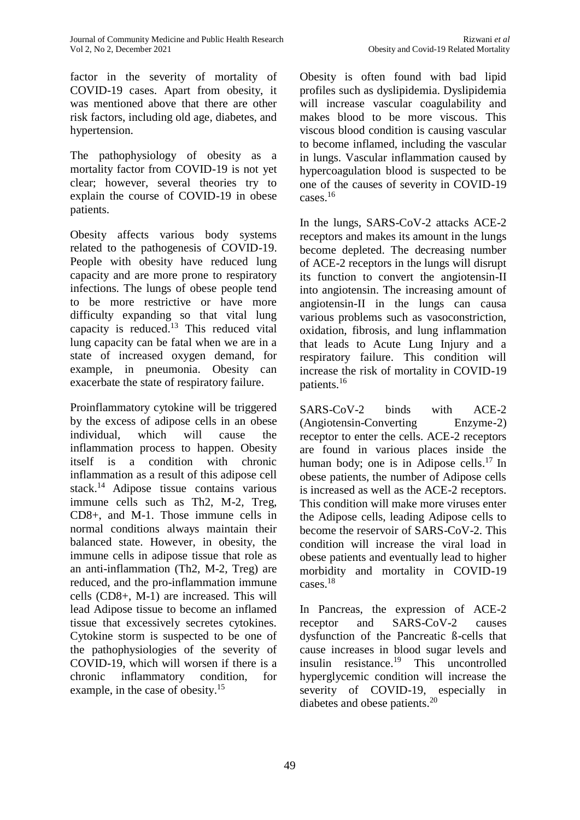factor in the severity of mortality of COVID-19 cases. Apart from obesity, it was mentioned above that there are other risk factors, including old age, diabetes, and hypertension.

The pathophysiology of obesity as a mortality factor from COVID-19 is not yet clear; however, several theories try to explain the course of COVID-19 in obese patients.

Obesity affects various body systems related to the pathogenesis of COVID-19. People with obesity have reduced lung capacity and are more prone to respiratory infections. The lungs of obese people tend to be more restrictive or have more difficulty expanding so that vital lung capacity is reduced.<sup>13</sup> This reduced vital lung capacity can be fatal when we are in a state of increased oxygen demand, for example, in pneumonia. Obesity can exacerbate the state of respiratory failure.

Proinflammatory cytokine will be triggered by the excess of adipose cells in an obese individual, which will cause the inflammation process to happen. Obesity itself is a condition with chronic inflammation as a result of this adipose cell stack.<sup>14</sup> Adipose tissue contains various immune cells such as Th2, M-2, Treg, CD8+, and M-1. Those immune cells in normal conditions always maintain their balanced state. However, in obesity, the immune cells in adipose tissue that role as an anti-inflammation (Th2, M-2, Treg) are reduced, and the pro-inflammation immune cells (CD8+, M-1) are increased. This will lead Adipose tissue to become an inflamed tissue that excessively secretes cytokines. Cytokine storm is suspected to be one of the pathophysiologies of the severity of COVID-19, which will worsen if there is a chronic inflammatory condition, for example, in the case of obesity.<sup>15</sup>

Obesity is often found with bad lipid profiles such as dyslipidemia. Dyslipidemia will increase vascular coagulability and makes blood to be more viscous. This viscous blood condition is causing vascular to become inflamed, including the vascular in lungs. Vascular inflammation caused by hypercoagulation blood is suspected to be one of the causes of severity in COVID-19 cases. 16

In the lungs, SARS-CoV-2 attacks ACE-2 receptors and makes its amount in the lungs become depleted. The decreasing number of ACE-2 receptors in the lungs will disrupt its function to convert the angiotensin-II into angiotensin. The increasing amount of angiotensin-II in the lungs can causa various problems such as vasoconstriction, oxidation, fibrosis, and lung inflammation that leads to Acute Lung Injury and a respiratory failure. This condition will increase the risk of mortality in COVID-19 patients. 16

SARS-CoV-2 binds with ACE-2 (Angiotensin-Converting Enzyme-2) receptor to enter the cells. ACE-2 receptors are found in various places inside the human body; one is in Adipose cells.<sup>17</sup> In obese patients, the number of Adipose cells is increased as well as the ACE-2 receptors. This condition will make more viruses enter the Adipose cells, leading Adipose cells to become the reservoir of SARS-CoV-2. This condition will increase the viral load in obese patients and eventually lead to higher morbidity and mortality in COVID-19 cases. 18

In Pancreas, the expression of ACE-2 receptor and SARS-CoV-2 causes dysfunction of the Pancreatic ß-cells that cause increases in blood sugar levels and insulin resistance. <sup>19</sup> This uncontrolled hyperglycemic condition will increase the severity of COVID-19, especially in diabetes and obese patients.<sup>20</sup>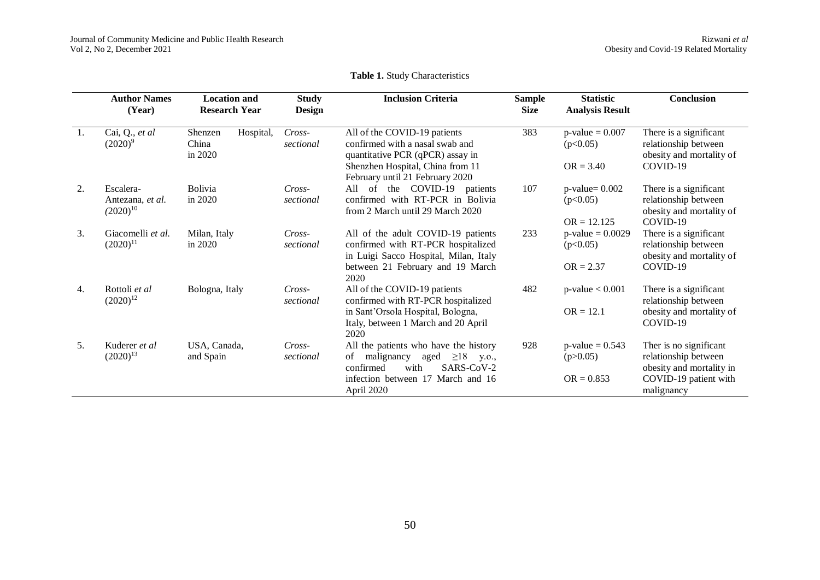#### **Table 1.** Study Characteristics

|                  | <b>Author Names</b><br>(Year)                  | <b>Location and</b><br><b>Research Year</b> | <b>Study</b><br><b>Design</b> | <b>Inclusion Criteria</b>                                                                                                                                                  | <b>Sample</b><br><b>Size</b> | <b>Statistic</b><br><b>Analysis Result</b>       | <b>Conclusion</b>                                                                                                 |  |
|------------------|------------------------------------------------|---------------------------------------------|-------------------------------|----------------------------------------------------------------------------------------------------------------------------------------------------------------------------|------------------------------|--------------------------------------------------|-------------------------------------------------------------------------------------------------------------------|--|
| $\overline{1}$ . | Cai, Q., et al<br>$(2020)^9$                   | Hospital,<br>Shenzen<br>China<br>in 2020    | Cross-<br>sectional           | All of the COVID-19 patients<br>confirmed with a nasal swab and<br>quantitative PCR (qPCR) assay in<br>Shenzhen Hospital, China from 11                                    | 383                          | $p$ -value = 0.007<br>(p<0.05)<br>$OR = 3.40$    | There is a significant<br>relationship between<br>obesity and mortality of<br>COVID-19                            |  |
|                  |                                                |                                             |                               | February until 21 February 2020                                                                                                                                            |                              |                                                  |                                                                                                                   |  |
| 2.               | Escalera-<br>Antezana, et al.<br>$(2020)^{10}$ | Bolivia<br>in 2020                          | $Cross-$<br>sectional         | All of the COVID-19 patients<br>confirmed with RT-PCR in Bolivia<br>from 2 March until 29 March 2020                                                                       | 107                          | $p$ -value= $0.002$<br>(p<0.05)<br>$OR = 12.125$ | There is a significant<br>relationship between<br>obesity and mortality of<br>COVID-19                            |  |
| 3.               | Giacomelli et al.<br>$(2020)^{11}$             | Milan, Italy<br>in 2020                     | $Cross-$<br>sectional         | All of the adult COVID-19 patients<br>confirmed with RT-PCR hospitalized<br>in Luigi Sacco Hospital, Milan, Italy<br>between 21 February and 19 March<br>2020              | 233                          | $p$ -value = 0.0029<br>(p<0.05)<br>$OR = 2.37$   | There is a significant<br>relationship between<br>obesity and mortality of<br>COVID-19                            |  |
| 4.               | Rottoli et al<br>$(2020)^{12}$                 | Bologna, Italy                              | $Cross-$<br>sectional         | All of the COVID-19 patients<br>confirmed with RT-PCR hospitalized<br>in Sant'Orsola Hospital, Bologna,<br>Italy, between 1 March and 20 April<br>2020                     | 482                          | $p$ -value $< 0.001$<br>$OR = 12.1$              | There is a significant<br>relationship between<br>obesity and mortality of<br>COVID-19                            |  |
| 5.               | Kuderer et al<br>$(2020)^{13}$                 | USA, Canada,<br>and Spain                   | Cross-<br>sectional           | All the patients who have the history<br>malignancy<br>$\geq$ 18 y.o.,<br>of<br>aged<br>SARS-CoV-2<br>confirmed<br>with<br>infection between 17 March and 16<br>April 2020 | 928                          | $p$ -value = 0.543<br>(p>0.05)<br>$OR = 0.853$   | Ther is no significant<br>relationship between<br>obesity and mortality in<br>COVID-19 patient with<br>malignancy |  |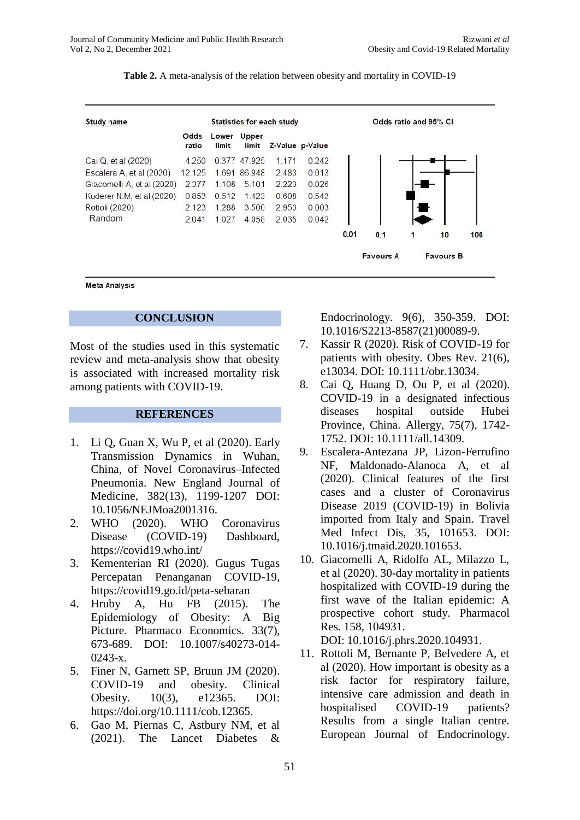| Study name                 | Statistics for each study |                |                |          |                 | Odds ratio and 95% CI |                  |   |                  |     |
|----------------------------|---------------------------|----------------|----------------|----------|-----------------|-----------------------|------------------|---|------------------|-----|
|                            | Odds<br>ratio             | Lower<br>limit | Upper<br>limit |          | Z-Value p-Value |                       |                  |   |                  |     |
| Cai Q, et al (2020)        | 4.250                     |                | 0.377 47.925   | 1 1 7 1  | 0.242           |                       |                  |   |                  |     |
| Escalera A, et al (2020)   | 12.125                    |                | 1.691 86.948   | 2.483    | 0.013           |                       |                  |   |                  |     |
| Giacomelli A, et al (2020) | 2.377                     | 1.108          | 5.101          | 2.223    | 0.026           |                       |                  |   |                  |     |
| Kuderer N.M. et al (2020)  | 0.853                     | 0.512          | 1.423          | $-0.608$ | 0.543           |                       |                  |   |                  |     |
| Rottoli (2020)             | 2.123                     | 1.288          | 3.500          | 2.953    | 0.003           |                       |                  |   |                  |     |
| Random                     | 2041                      | 1027           | 4.058          | 2035     | 0.042           |                       |                  |   |                  |     |
|                            |                           |                |                |          |                 | 0.01                  | 0.1              | 1 | 10               | 100 |
|                            |                           |                |                |          |                 |                       | <b>Favours A</b> |   | <b>Favours B</b> |     |

**Table 2.** A meta-analysis of the relation between obesity and mortality in COVID-19

**Meta Analysis** 

## **CONCLUSION**

Most of the studies used in this systematic review and meta-analysis show that obesity is associated with increased mortality risk among patients with COVID-19.

#### **REFERENCES**

- 1. Li Q, Guan X, Wu P, et al (2020). Early Transmission Dynamics in Wuhan, China, of Novel Coronavirus–Infected Pneumonia. New England Journal of Medicine, 382(13), 1199-1207 DOI: 10.1056/NEJMoa2001316.
- 2. WHO (2020). WHO Coronavirus Disease (COVID-19) Dashboard, <https://covid19.who.int/>
- 3. Kementerian RI (2020). Gugus Tugas Percepatan Penanganan COVID-19, <https://covid19.go.id/peta-sebaran>
- 4. Hruby A, Hu FB (2015). The Epidemiology of Obesity: A Big Picture. Pharmaco Economics. 33(7), 673-689. DOI: 10.1007/s40273-014- 0243-x.
- 5. Finer N, Garnett SP, Bruun JM (2020). COVID-19 and obesity. Clinical Obesity. 10(3), e12365. DOI: [https://doi.org/10.1111/cob.12365.](https://doi.org/10.1111/cob.12365)
- 6. Gao M, Piernas C, Astbury NM, et al (2021). The Lancet Diabetes &

Endocrinology. 9(6), 350-359. DOI: 10.1016/S2213-8587(21)00089-9.

- 7. Kassir R (2020). Risk of COVID-19 for patients with obesity. Obes Rev. 21(6), e13034. DOI: 10.1111/obr.13034.
- 8. Cai Q, Huang D, Ou P, et al (2020). COVID-19 in a designated infectious diseases hospital outside Hubei Province, China. Allergy, 75(7), 1742- 1752. DOI: 10.1111/all.14309.
- 9. Escalera-Antezana JP, Lizon-Ferrufino NF, Maldonado-Alanoca A, et al (2020). Clinical features of the first cases and a cluster of Coronavirus Disease 2019 (COVID-19) in Bolivia imported from Italy and Spain. Travel Med Infect Dis, 35, 101653. DOI: 10.1016/j.tmaid.2020.101653.
- 10. Giacomelli A, Ridolfo AL, Milazzo L, et al (2020). 30-day mortality in patients hospitalized with COVID-19 during the first wave of the Italian epidemic: A prospective cohort study. Pharmacol Res. 158, 104931.

DOI: 10.1016/j.phrs.2020.104931.

11. Rottoli M, Bernante P, Belvedere A, et al (2020). How important is obesity as a risk factor for respiratory failure, intensive care admission and death in hospitalised COVID-19 patients? Results from a single Italian centre. European Journal of Endocrinology.